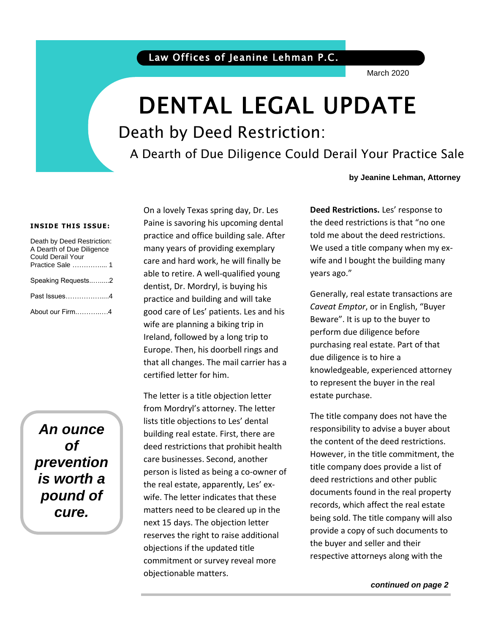March 2020

# DENTAL LEGAL UPDATE

Death by Deed Restriction:

A Dearth of Due Diligence Could Derail Your Practice Sale

### **by Jeanine Lehman, Attorney**

### **INSIDE THIS ISSUE:**

| Death by Deed Restriction:<br>A Dearth of Due Diligence<br><b>Could Derail Your</b> |
|-------------------------------------------------------------------------------------|
| Speaking Requests2                                                                  |
| Past Issues4                                                                        |
| About our Firm4                                                                     |

*An ounce of prevention is worth a pound of cure.*

On a lovely Texas spring day, Dr. Les Paine is savoring his upcoming dental practice and office building sale. After many years of providing exemplary care and hard work, he will finally be able to retire. A well-qualified young dentist, Dr. Mordryl, is buying his practice and building and will take good care of Les' patients. Les and his wife are planning a biking trip in Ireland, followed by a long trip to Europe. Then, his doorbell rings and that all changes. The mail carrier has a certified letter for him.

The letter is a title objection letter from Mordryl's attorney. The letter lists title objections to Les' dental building real estate. First, there are deed restrictions that prohibit health care businesses. Second, another person is listed as being a co-owner of the real estate, apparently, Les' exwife. The letter indicates that these matters need to be cleared up in the next 15 days. The objection letter reserves the right to raise additional objections if the updated title commitment or survey reveal more objectionable matters.

**Deed Restrictions.** Les' response to the deed restrictions is that "no one told me about the deed restrictions. We used a title company when my exwife and I bought the building many years ago."

Generally, real estate transactions are *Caveat Emptor*, or in English, "Buyer Beware". It is up to the buyer to perform due diligence before purchasing real estate. Part of that due diligence is to hire a knowledgeable, experienced attorney to represent the buyer in the real estate purchase.

The title company does not have the responsibility to advise a buyer about the content of the deed restrictions. However, in the title commitment, the title company does provide a list of deed restrictions and other public documents found in the real property records, which affect the real estate being sold. The title company will also provide a copy of such documents to the buyer and seller and their respective attorneys along with the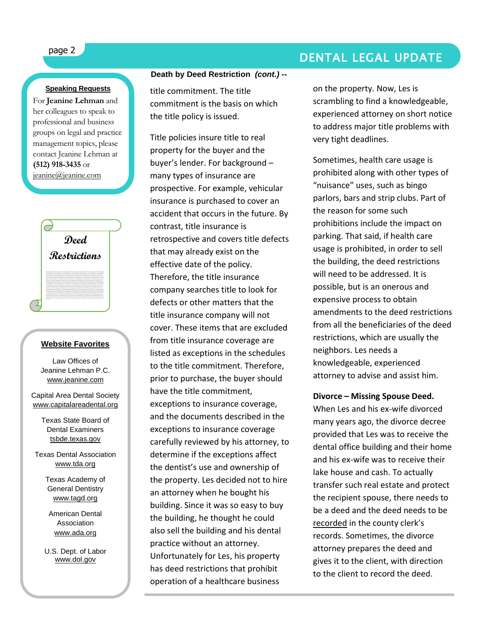### **Speaking Requests**

For **Jeanine Lehman** and her colleagues to speak to professional and business groups on legal and practice management topics, please contact Jeanine Lehman at **(512) 918-3435** or [jeanine@jeanine.com](mailto:jeanine@jeanine.com)

ì

### **Deed Restrictions** prevention is wort h a pound of cure." "An ounce of prevention is worth a pound of cure. " "A n ounce of preve ntion is wort h a pound of cure." "An ounce of prevention is worth a prevention is wort h a pound of cure." "An ounce of prevention is worth a pound of cure. " "A n ounce of preve ntion is wort h a pound of cure." "An ounce of prevention is worth a

### **Website Favorites**

Law Offices of Jeanine Lehman P.C. [www.jeanine.com](http://www.jeanine.com/)

Capital Area Dental Society [www.capitalareadental.org](http://www.capitalareadental.org/)

> Texas State Board of Dental Examiners tsbde.texas.gov

Texas Dental Association [www.tda.org](http://www.tda.org/)

> Texas Academy of General Dentistry [www.tagd.org](http://www.tagd.org/)

American Dental Association [www.ada.org](http://www.ada.org/)

U.S. Dept. of Labor [www.dol.gov](http://www.dol.gov/)

### **Death by Deed Restriction** *(cont.) --*

title commitment. The title commitment is the basis on which the title policy is issued.

Title policies insure title to real property for the buyer and the buyer's lender. For background – many types of insurance are prospective. For example, vehicular insurance is purchased to cover an accident that occurs in the future. By contrast, title insurance is retrospective and covers title defects that may already exist on the effective date of the policy. Therefore, the title insurance company searches title to look for defects or other matters that the title insurance company will not cover. These items that are excluded from title insurance coverage are listed as exceptions in the schedules to the title commitment. Therefore, prior to purchase, the buyer should have the title commitment, exceptions to insurance coverage, and the documents described in the exceptions to insurance coverage carefully reviewed by his attorney, to determine if the exceptions affect the dentist's use and ownership of the property. Les decided not to hire an attorney when he bought his building. Since it was so easy to buy the building, he thought he could also sell the building and his dental practice without an attorney. Unfortunately for Les, his property has deed restrictions that prohibit operation of a healthcare business

## page 2 DENTAL LEGAL UPDATE

on the property. Now, Les is scrambling to find a knowledgeable, experienced attorney on short notice to address major title problems with very tight deadlines.

Sometimes, health care usage is prohibited along with other types of "nuisance" uses, such as bingo parlors, bars and strip clubs. Part of the reason for some such prohibitions include the impact on parking. That said, if health care usage is prohibited, in order to sell the building, the deed restrictions will need to be addressed. It is possible, but is an onerous and expensive process to obtain amendments to the deed restrictions from all the beneficiaries of the deed restrictions, which are usually the neighbors. Les needs a knowledgeable, experienced attorney to advise and assist him.

#### **Divorce – Missing Spouse Deed.**

When Les and his ex-wife divorced many years ago, the divorce decree provided that Les was to receive the dental office building and their home and his ex-wife was to receive their lake house and cash. To actually transfer such real estate and protect the recipient spouse, there needs to be a deed and the deed needs to be recorded in the county clerk's records. Sometimes, the divorce attorney prepares the deed and gives it to the client, with direction to the client to record the deed.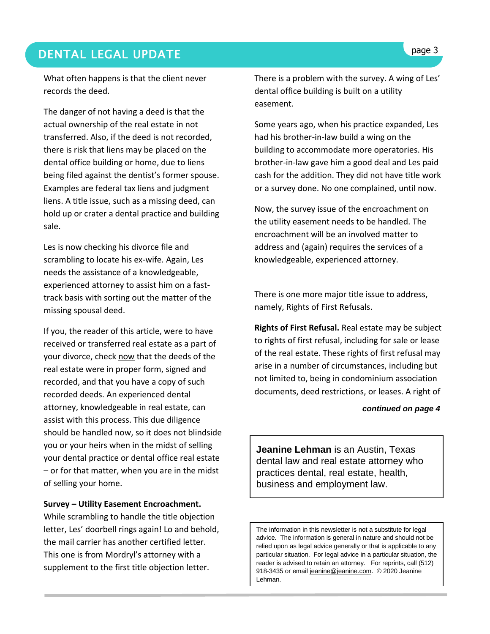### page 3 DENTAL LEGAL UPDATE

What often happens is that the client never records the deed.

The danger of not having a deed is that the actual ownership of the real estate in not transferred. Also, if the deed is not recorded, there is risk that liens may be placed on the dental office building or home, due to liens being filed against the dentist's former spouse. Examples are federal tax liens and judgment liens. A title issue, such as a missing deed, can hold up or crater a dental practice and building sale.

Les is now checking his divorce file and scrambling to locate his ex-wife. Again, Les needs the assistance of a knowledgeable, experienced attorney to assist him on a fasttrack basis with sorting out the matter of the missing spousal deed.

If you, the reader of this article, were to have received or transferred real estate as a part of your divorce, check now that the deeds of the real estate were in proper form, signed and recorded, and that you have a copy of such recorded deeds. An experienced dental attorney, knowledgeable in real estate, can assist with this process. This due diligence should be handled now, so it does not blindside you or your heirs when in the midst of selling your dental practice or dental office real estate – or for that matter, when you are in the midst of selling your home.

### **Survey – Utility Easement Encroachment.**

While scrambling to handle the title objection letter, Les' doorbell rings again! Lo and behold, the mail carrier has another certified letter. This one is from Mordryl's attorney with a supplement to the first title objection letter.

There is a problem with the survey. A wing of Les' dental office building is built on a utility easement.

Some years ago, when his practice expanded, Les had his brother-in-law build a wing on the building to accommodate more operatories. His brother-in-law gave him a good deal and Les paid cash for the addition. They did not have title work or a survey done. No one complained, until now.

Now, the survey issue of the encroachment on the utility easement needs to be handled. The encroachment will be an involved matter to address and (again) requires the services of a knowledgeable, experienced attorney.

There is one more major title issue to address, namely, Rights of First Refusals.

**Rights of First Refusal.** Real estate may be subject to rights of first refusal, including for sale or lease of the real estate. These rights of first refusal may arise in a number of circumstances, including but not limited to, being in condominium association documents, deed restrictions, or leases. A right of

### *continued on page 4*

**Jeanine Lehman** is an Austin, Texas dental law and real estate attorney who practices dental, real estate, health, business and employment law.

The information in this newsletter is not a substitute for legal advice. The information is general in nature and should not be relied upon as legal advice generally or that is applicable to any particular situation. For legal advice in a particular situation, the reader is advised to retain an attorney. For reprints, call (512) 918-3435 or email [jeanine@jeanine.com.](mailto:jeanine@jeanine.com) © 2020 Jeanine Lehman.